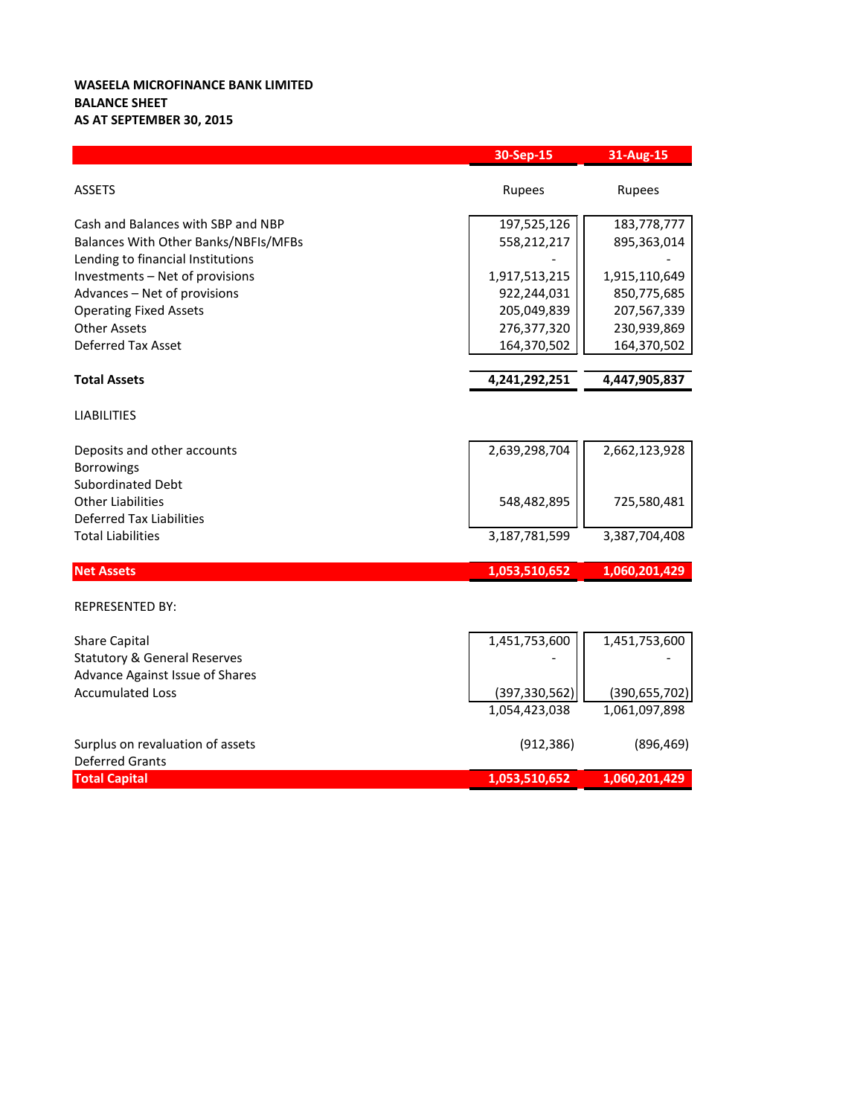## **WASEELA MICROFINANCE BANK LIMITED BALANCE SHEET AS AT SEPTEMBER 30, 2015**

|                                         | 30-Sep-15       | 31-Aug-15       |
|-----------------------------------------|-----------------|-----------------|
| <b>ASSETS</b>                           | Rupees          | Rupees          |
| Cash and Balances with SBP and NBP      | 197,525,126     | 183,778,777     |
| Balances With Other Banks/NBFIs/MFBs    | 558,212,217     | 895,363,014     |
| Lending to financial Institutions       |                 |                 |
| Investments - Net of provisions         | 1,917,513,215   | 1,915,110,649   |
| Advances - Net of provisions            | 922,244,031     | 850,775,685     |
| <b>Operating Fixed Assets</b>           | 205,049,839     | 207,567,339     |
| <b>Other Assets</b>                     | 276,377,320     | 230,939,869     |
| Deferred Tax Asset                      | 164,370,502     | 164,370,502     |
| <b>Total Assets</b>                     | 4,241,292,251   | 4,447,905,837   |
| <b>LIABILITIES</b>                      |                 |                 |
| Deposits and other accounts             | 2,639,298,704   | 2,662,123,928   |
| Borrowings                              |                 |                 |
| <b>Subordinated Debt</b>                |                 |                 |
| <b>Other Liabilities</b>                | 548,482,895     | 725,580,481     |
| <b>Deferred Tax Liabilities</b>         |                 |                 |
| <b>Total Liabilities</b>                | 3,187,781,599   | 3,387,704,408   |
| <b>Net Assets</b>                       | 1,053,510,652   | 1,060,201,429   |
| <b>REPRESENTED BY:</b>                  |                 |                 |
| <b>Share Capital</b>                    | 1,451,753,600   | 1,451,753,600   |
| <b>Statutory &amp; General Reserves</b> |                 |                 |
| Advance Against Issue of Shares         |                 |                 |
| <b>Accumulated Loss</b>                 | (397, 330, 562) | (390, 655, 702) |
|                                         | 1,054,423,038   | 1,061,097,898   |
| Surplus on revaluation of assets        | (912, 386)      | (896, 469)      |
| <b>Deferred Grants</b>                  |                 |                 |
| <b>Total Capital</b>                    | 1,053,510,652   | 1,060,201,429   |